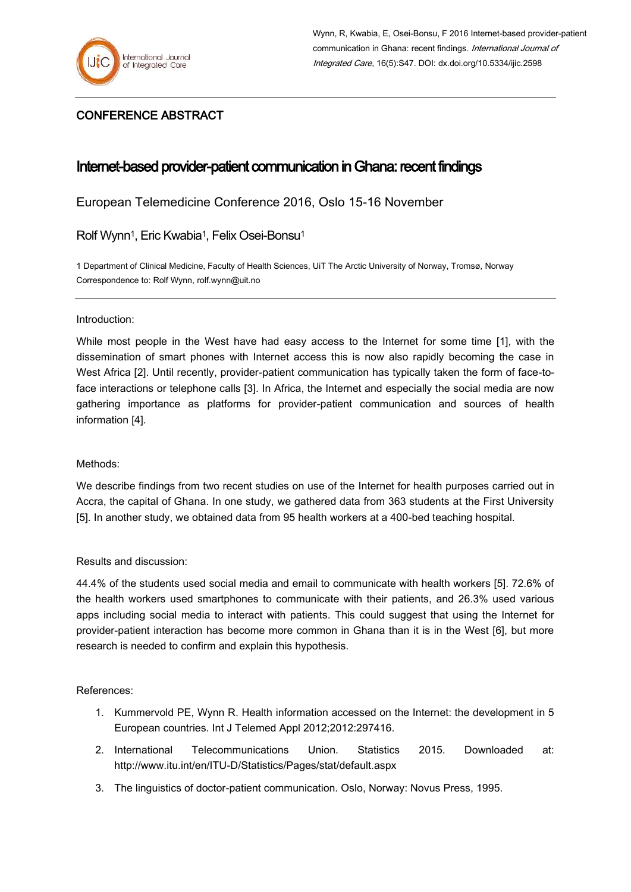

## CONFERENCE ABSTRACT

# Internet-based provider-patient communication in Ghana: recent findings

European Telemedicine Conference 2016, Oslo 15-16 November

Rolf Wynn<sup>1</sup>, Eric Kwabia<sup>1</sup>, Felix Osei-Bonsu<sup>1</sup>

1 Department of Clinical Medicine, Faculty of Health Sciences, UiT The Arctic University of Norway, Tromsø, Norway Correspondence to: Rolf Wynn, rolf.wynn@uit.no

### Introduction:

While most people in the West have had easy access to the Internet for some time [1], with the dissemination of smart phones with Internet access this is now also rapidly becoming the case in West Africa [2]. Until recently, provider-patient communication has typically taken the form of face-toface interactions or telephone calls [3]. In Africa, the Internet and especially the social media are now gathering importance as platforms for provider-patient communication and sources of health information [4].

### Methods:

We describe findings from two recent studies on use of the Internet for health purposes carried out in Accra, the capital of Ghana. In one study, we gathered data from 363 students at the First University [5]. In another study, we obtained data from 95 health workers at a 400-bed teaching hospital.

### Results and discussion:

44.4% of the students used social media and email to communicate with health workers [5]. 72.6% of the health workers used smartphones to communicate with their patients, and 26.3% used various apps including social media to interact with patients. This could suggest that using the Internet for provider-patient interaction has become more common in Ghana than it is in the West [6], but more research is needed to confirm and explain this hypothesis.

References:

- 1. Kummervold PE, Wynn R. Health information accessed on the Internet: the development in 5 European countries. Int J Telemed Appl 2012;2012:297416.
- 2. International Telecommunications Union. Statistics 2015. Downloaded at: http://www.itu.int/en/ITU-D/Statistics/Pages/stat/default.aspx
- 3. The linguistics of doctor-patient communication. Oslo, Norway: Novus Press, 1995.